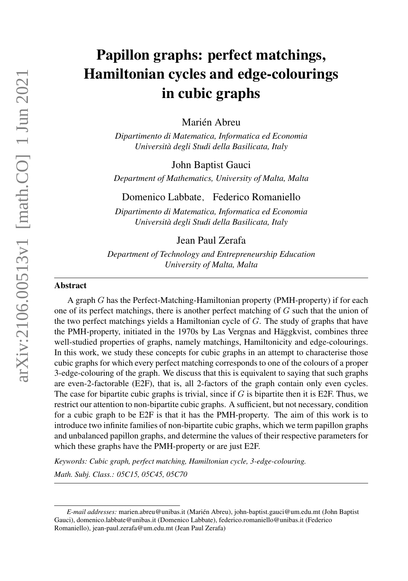# Papillon graphs: perfect matchings, Hamiltonian cycles and edge-colourings in cubic graphs

Marién Abreu

*Dipartimento di Matematica, Informatica ed Economia Universita degli Studi della Basilicata, Italy `*

John Baptist Gauci

*Department of Mathematics, University of Malta, Malta*

Domenico Labbate, Federico Romaniello

*Dipartimento di Matematica, Informatica ed Economia Universita degli Studi della Basilicata, Italy `*

# Jean Paul Zerafa

*Department of Technology and Entrepreneurship Education University of Malta, Malta*

## Abstract

A graph G has the Perfect-Matching-Hamiltonian property (PMH-property) if for each one of its perfect matchings, there is another perfect matching of  $G$  such that the union of the two perfect matchings yields a Hamiltonian cycle of  $G$ . The study of graphs that have the PMH-property, initiated in the 1970s by Las Vergnas and Häggkvist, combines three well-studied properties of graphs, namely matchings, Hamiltonicity and edge-colourings. In this work, we study these concepts for cubic graphs in an attempt to characterise those cubic graphs for which every perfect matching corresponds to one of the colours of a proper 3-edge-colouring of the graph. We discuss that this is equivalent to saying that such graphs are even-2-factorable (E2F), that is, all 2-factors of the graph contain only even cycles. The case for bipartite cubic graphs is trivial, since if  $G$  is bipartite then it is E2F. Thus, we restrict our attention to non-bipartite cubic graphs. A sufficient, but not necessary, condition for a cubic graph to be E2F is that it has the PMH-property. The aim of this work is to introduce two infinite families of non-bipartite cubic graphs, which we term papillon graphs and unbalanced papillon graphs, and determine the values of their respective parameters for which these graphs have the PMH-property or are just E2F.

*Keywords: Cubic graph, perfect matching, Hamiltonian cycle, 3-edge-colouring. Math. Subj. Class.: 05C15, 05C45, 05C70*

*E-mail addresses:* marien.abreu@unibas.it (Marien Abreu), john-baptist.gauci@um.edu.mt (John Baptist ´ Gauci), domenico.labbate@unibas.it (Domenico Labbate), federico.romaniello@unibas.it (Federico Romaniello), jean-paul.zerafa@um.edu.mt (Jean Paul Zerafa)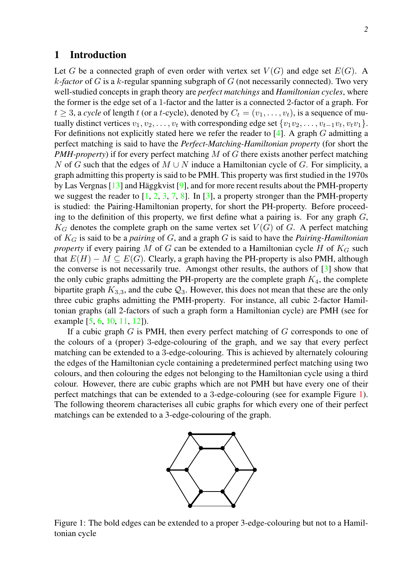# 1 Introduction

Let G be a connected graph of even order with vertex set  $V(G)$  and edge set  $E(G)$ . A k*-factor* of G is a k-regular spanning subgraph of G (not necessarily connected). Two very well-studied concepts in graph theory are *perfect matchings* and *Hamiltonian cycles*, where the former is the edge set of a 1-factor and the latter is a connected 2-factor of a graph. For  $t \geq 3$ , a *cycle* of length t (or a t-cycle), denoted by  $C_t = (v_1, \ldots, v_t)$ , is a sequence of mutually distinct vertices  $v_1, v_2, \ldots, v_t$  with corresponding edge set  $\{v_1v_2, \ldots, v_{t-1}v_t, v_tv_1\}.$ For definitions not explicitly stated here we refer the reader to  $[4]$ . A graph G admitting a perfect matching is said to have the *Perfect-Matching-Hamiltonian property* (for short the *PMH-property*) if for every perfect matching M of G there exists another perfect matching N of G such that the edges of  $M \cup N$  induce a Hamiltonian cycle of G. For simplicity, a graph admitting this property is said to be PMH. This property was first studied in the 1970s by Las Vergnas  $[13]$  and Häggkvist  $[9]$  $[9]$ , and for more recent results about the PMH-property we suggest the reader to  $[1, 2, 3, 7, 8]$  $[1, 2, 3, 7, 8]$  $[1, 2, 3, 7, 8]$  $[1, 2, 3, 7, 8]$  $[1, 2, 3, 7, 8]$  $[1, 2, 3, 7, 8]$  $[1, 2, 3, 7, 8]$  $[1, 2, 3, 7, 8]$  $[1, 2, 3, 7, 8]$ . In [\[3\]](#page-16-4), a property stronger than the PMH-property is studied: the Pairing-Hamiltonian property, for short the PH-property. Before proceeding to the definition of this property, we first define what a pairing is. For any graph  $G$ ,  $K_G$  denotes the complete graph on the same vertex set  $V(G)$  of G. A perfect matching of K<sup>G</sup> is said to be a *pairing* of G, and a graph G is said to have the *Pairing-Hamiltonian property* if every pairing M of G can be extended to a Hamiltonian cycle H of  $K_G$  such that  $E(H) - M \subseteq E(G)$ . Clearly, a graph having the PH-property is also PMH, although the converse is not necessarily true. Amongst other results, the authors of  $\lceil 3 \rceil$  show that the only cubic graphs admitting the PH-property are the complete graph  $K_4$ , the complete bipartite graph  $K_{3,3}$ , and the cube  $\mathcal{Q}_3$ . However, this does not mean that these are the only three cubic graphs admitting the PMH-property. For instance, all cubic 2-factor Hamiltonian graphs (all 2-factors of such a graph form a Hamiltonian cycle) are PMH (see for

example [\[5,](#page-16-7) [6,](#page-16-8) [10,](#page-17-1) [11,](#page-17-2) [12\]](#page-17-3)).

If a cubic graph  $G$  is PMH, then every perfect matching of  $G$  corresponds to one of the colours of a (proper) 3-edge-colouring of the graph, and we say that every perfect matching can be extended to a 3-edge-colouring. This is achieved by alternately colouring the edges of the Hamiltonian cycle containing a predetermined perfect matching using two colours, and then colouring the edges not belonging to the Hamiltonian cycle using a third colour. However, there are cubic graphs which are not PMH but have every one of their perfect matchings that can be extended to a 3-edge-colouring (see for example Figure [1\)](#page-1-0). The following theorem characterises all cubic graphs for which every one of their perfect matchings can be extended to a 3-edge-colouring of the graph.



<span id="page-1-0"></span>Figure 1: The bold edges can be extended to a proper 3-edge-colouring but not to a Hamiltonian cycle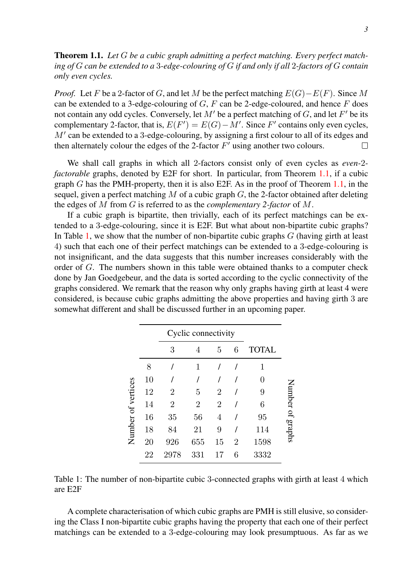<span id="page-2-0"></span>Theorem 1.1. *Let* G *be a cubic graph admitting a perfect matching. Every perfect matching of* G *can be extended to a* 3*-edge-colouring of* G *if and only if all* 2*-factors of* G *contain only even cycles.*

*Proof.* Let F be a 2-factor of G, and let M be the perfect matching  $E(G) - E(F)$ . Since M can be extended to a 3-edge-colouring of  $G$ ,  $F$  can be 2-edge-coloured, and hence  $F$  does not contain any odd cycles. Conversely, let  $M'$  be a perfect matching of G, and let  $F'$  be its complementary 2-factor, that is,  $E(F') = E(G) - M'$ . Since F' contains only even cycles,  $M'$  can be extended to a 3-edge-colouring, by assigning a first colour to all of its edges and then alternately colour the edges of the 2-factor  $F'$  using another two colours. П

We shall call graphs in which all 2-factors consist only of even cycles as *even-*2 *factorable* graphs, denoted by E2F for short. In particular, from Theorem [1.1,](#page-2-0) if a cubic graph  $G$  has the PMH-property, then it is also E2F. As in the proof of Theorem [1.1,](#page-2-0) in the sequel, given a perfect matching M of a cubic graph  $G$ , the 2-factor obtained after deleting the edges of M from G is referred to as the *complementary 2-factor* of M.

If a cubic graph is bipartite, then trivially, each of its perfect matchings can be extended to a 3-edge-colouring, since it is E2F. But what about non-bipartite cubic graphs? In Table [1,](#page-2-1) we show that the number of non-bipartite cubic graphs  $G$  (having girth at least 4) such that each one of their perfect matchings can be extended to a 3-edge-colouring is not insignificant, and the data suggests that this number increases considerably with the order of G. The numbers shown in this table were obtained thanks to a computer check done by Jan Goedgebeur, and the data is sorted according to the cyclic connectivity of the graphs considered. We remark that the reason why only graphs having girth at least 4 were considered, is because cubic graphs admitting the above properties and having girth 3 are somewhat different and shall be discussed further in an upcoming paper.

<span id="page-2-1"></span>

|                    |    | Cyclic connectivity |                |                |                |              |           |
|--------------------|----|---------------------|----------------|----------------|----------------|--------------|-----------|
|                    |    | 3                   | 4              | 5              | 6              | <b>TOTAL</b> |           |
| Number of vertices | 8  |                     | 1              |                |                | 1            |           |
|                    | 10 |                     |                |                |                | 0            |           |
|                    | 12 | 2                   | 5              | 2              |                | 9            | Number of |
|                    | 14 | 2                   | $\overline{2}$ | $\overline{2}$ |                | 6            |           |
|                    | 16 | 35                  | 56             | 4              |                | 95           |           |
|                    | 18 | 84                  | 21             | 9              |                | 114          | suders    |
|                    | 20 | 926                 | 655            | 15             | $\overline{2}$ | 1598         |           |
|                    | 22 | 2978                | 331            | 17             | 6              | 3332         |           |

Table 1: The number of non-bipartite cubic 3-connected graphs with girth at least 4 which are E2F

A complete characterisation of which cubic graphs are PMH is still elusive, so considering the Class I non-bipartite cubic graphs having the property that each one of their perfect matchings can be extended to a 3-edge-colouring may look presumptuous. As far as we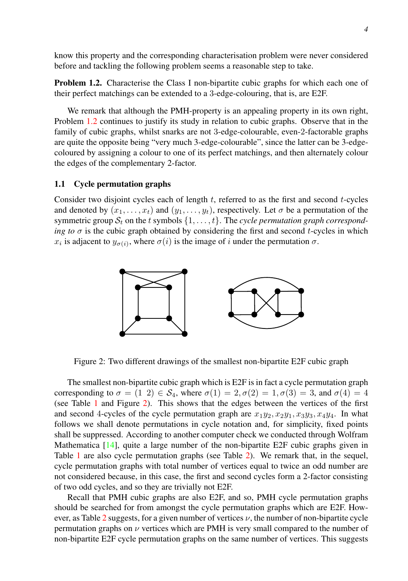know this property and the corresponding characterisation problem were never considered before and tackling the following problem seems a reasonable step to take.

<span id="page-3-0"></span>Problem 1.2. Characterise the Class I non-bipartite cubic graphs for which each one of their perfect matchings can be extended to a 3-edge-colouring, that is, are E2F.

We remark that although the PMH-property is an appealing property in its own right, Problem [1.2](#page-3-0) continues to justify its study in relation to cubic graphs. Observe that in the family of cubic graphs, whilst snarks are not 3-edge-colourable, even-2-factorable graphs are quite the opposite being "very much 3-edge-colourable", since the latter can be 3-edgecoloured by assigning a colour to one of its perfect matchings, and then alternately colour the edges of the complementary 2-factor.

## 1.1 Cycle permutation graphs

Consider two disjoint cycles each of length  $t$ , referred to as the first and second  $t$ -cycles and denoted by  $(x_1, \ldots, x_t)$  and  $(y_1, \ldots, y_t)$ , respectively. Let  $\sigma$  be a permutation of the symmetric group  $S_t$  on the t symbols  $\{1, \ldots, t\}$ . The *cycle permutation graph corresponding to*  $\sigma$  is the cubic graph obtained by considering the first and second *t*-cycles in which  $x_i$  is adjacent to  $y_{\sigma(i)}$ , where  $\sigma(i)$  is the image of i under the permutation  $\sigma$ .

<span id="page-3-1"></span>

Figure 2: Two different drawings of the smallest non-bipartite E2F cubic graph

The smallest non-bipartite cubic graph which is E2F is in fact a cycle permutation graph corresponding to  $\sigma = (1 \ 2) \in S_4$ , where  $\sigma(1) = 2, \sigma(2) = 1, \sigma(3) = 3$ , and  $\sigma(4) = 4$ (see Table [1](#page-2-1) and Figure [2\)](#page-3-1). This shows that the edges between the vertices of the first and second 4-cycles of the cycle permutation graph are  $x_1y_2, x_2y_1, x_3y_3, x_4y_4$ . In what follows we shall denote permutations in cycle notation and, for simplicity, fixed points shall be suppressed. According to another computer check we conducted through Wolfram Mathematica [\[14\]](#page-17-4), quite a large number of the non-bipartite E2F cubic graphs given in Table [1](#page-2-1) are also cycle permutation graphs (see Table [2\)](#page-4-0). We remark that, in the sequel, cycle permutation graphs with total number of vertices equal to twice an odd number are not considered because, in this case, the first and second cycles form a 2-factor consisting of two odd cycles, and so they are trivially not E2F.

Recall that PMH cubic graphs are also E2F, and so, PMH cycle permutation graphs should be searched for from amongst the cycle permutation graphs which are E2F. How-ever, as Table [2](#page-4-0) suggests, for a given number of vertices  $\nu$ , the number of non-bipartite cycle permutation graphs on  $\nu$  vertices which are PMH is very small compared to the number of non-bipartite E2F cycle permutation graphs on the same number of vertices. This suggests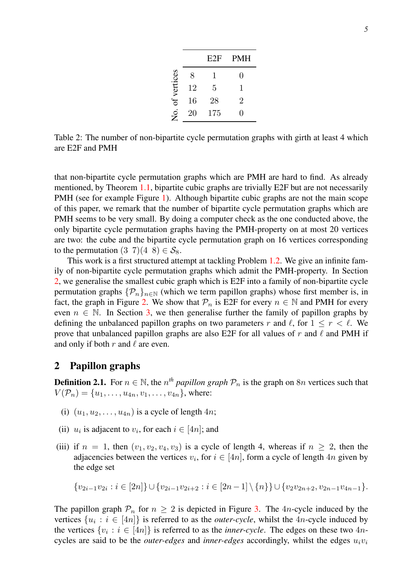|             |    | E2F | <b>PMH</b> |
|-------------|----|-----|------------|
|             | 8  | 1   | 0          |
| of vertices | 12 | 5   | 1          |
|             | 16 | 28  | 2          |
| Ş.          | 20 | 175 | 0          |

<span id="page-4-0"></span>Table 2: The number of non-bipartite cycle permutation graphs with girth at least 4 which are E2F and PMH

that non-bipartite cycle permutation graphs which are PMH are hard to find. As already mentioned, by Theorem [1.1,](#page-2-0) bipartite cubic graphs are trivially E2F but are not necessarily PMH (see for example Figure [1\)](#page-1-0). Although bipartite cubic graphs are not the main scope of this paper, we remark that the number of bipartite cycle permutation graphs which are PMH seems to be very small. By doing a computer check as the one conducted above, the only bipartite cycle permutation graphs having the PMH-property on at most 20 vertices are two: the cube and the bipartite cycle permutation graph on 16 vertices corresponding to the permutation  $(3\ 7)(4\ 8) \in S_8$ .

This work is a first structured attempt at tackling Problem [1.2.](#page-3-0) We give an infinite family of non-bipartite cycle permutation graphs which admit the PMH-property. In Section [2,](#page-4-1) we generalise the smallest cubic graph which is E2F into a family of non-bipartite cycle permutation graphs  $\{\mathcal{P}_n\}_{n\in\mathbb{N}}$  (which we term papillon graphs) whose first member is, in fact, the graph in Figure [2.](#page-3-1) We show that  $\mathcal{P}_n$  is E2F for every  $n \in \mathbb{N}$  and PMH for every even  $n \in \mathbb{N}$ . In Section [3,](#page-14-0) we then generalise further the family of papillon graphs by defining the unbalanced papillon graphs on two parameters r and  $\ell$ , for  $1 \le r < \ell$ . We prove that unbalanced papillon graphs are also E2F for all values of  $r$  and  $\ell$  and PMH if and only if both  $r$  and  $\ell$  are even.

# <span id="page-4-1"></span>2 Papillon graphs

<span id="page-4-2"></span>**Definition 2.1.** For  $n \in \mathbb{N}$ , the  $n^{th}$  *papillon graph*  $\mathcal{P}_n$  is the graph on  $8n$  vertices such that  $V(\mathcal{P}_n) = \{u_1, \ldots, u_{4n}, v_1, \ldots, v_{4n}\},$  where:

- (i)  $(u_1, u_2, \ldots, u_{4n})$  is a cycle of length  $4n$ ;
- (ii)  $u_i$  is adjacent to  $v_i$ , for each  $i \in [4n]$ ; and
- (iii) if  $n = 1$ , then  $(v_1, v_2, v_4, v_3)$  is a cycle of length 4, whereas if  $n \geq 2$ , then the adjacencies between the vertices  $v_i$ , for  $i \in [4n]$ , form a cycle of length  $4n$  given by the edge set

$$
\{v_{2i-1}v_{2i}: i \in [2n]\} \cup \{v_{2i-1}v_{2i+2}: i \in [2n-1] \setminus \{n\}\} \cup \{v_2v_{2n+2}, v_{2n-1}v_{4n-1}\}.
$$

The papillon graph  $\mathcal{P}_n$  for  $n \geq 2$  is depicted in Figure [3.](#page-5-0) The 4n-cycle induced by the vertices  $\{u_i : i \in [4n]\}$  is referred to as the *outer-cycle*, whilst the 4*n*-cycle induced by the vertices  $\{v_i : i \in [4n]\}$  is referred to as the *inner-cycle*. The edges on these two  $4n$ cycles are said to be the *outer-edges* and *inner-edges* accordingly, whilst the edges  $u_i v_i$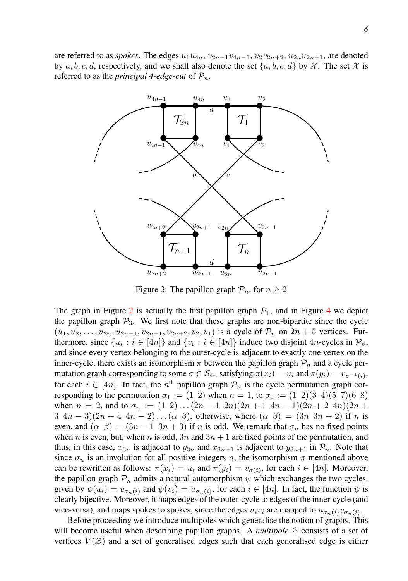are referred to as *spokes*. The edges  $u_1u_{4n}$ ,  $v_{2n-1}v_{4n-1}$ ,  $v_2v_{2n+2}$ ,  $u_{2n}u_{2n+1}$ , are denoted by a, b, c, d, respectively, and we shall also denote the set  $\{a, b, c, d\}$  by X. The set X is referred to as the *principal* 4-edge-cut of  $P_n$ .

<span id="page-5-0"></span>

Figure 3: The papillon graph  $\mathcal{P}_n$ , for  $n \geq 2$ 

The graph in Figure [2](#page-3-1) is actually the first papillon graph  $P_1$ , and in Figure [4](#page-6-0) we depict the papillon graph  $P_3$ . We first note that these graphs are non-bipartite since the cycle  $(u_1, u_2, \ldots, u_{2n}, u_{2n+1}, v_{2n+1}, v_{2n+2}, v_2, v_1)$  is a cycle of  $\mathcal{P}_n$  on  $2n+5$  vertices. Furthermore, since  $\{u_i : i \in [4n]\}$  and  $\{v_i : i \in [4n]\}$  induce two disjoint  $4n$ -cycles in  $\mathcal{P}_n$ , and since every vertex belonging to the outer-cycle is adjacent to exactly one vertex on the inner-cycle, there exists an isomorphism  $\pi$  between the papillon graph  $\mathcal{P}_n$  and a cycle permutation graph corresponding to some  $\sigma \in S_{4n}$  satisfying  $\pi(x_i) = u_i$  and  $\pi(y_i) = v_{\sigma^{-1}(i)}$ , for each  $i \in [4n]$ . In fact, the  $n^{\text{th}}$  papillon graph  $\mathcal{P}_n$  is the cycle permutation graph corresponding to the permutation  $\sigma_1 := (1 \ 2)$  when  $n = 1$ , to  $\sigma_2 := (1 \ 2)(3 \ 4)(5 \ 7)(6 \ 8)$ when  $n = 2$ , and to  $\sigma_n := (1 \ 2) \dots (2n-1 \ 2n)(2n+1 \ 4n-1)(2n+2 \ 4n)(2n+1 \ 4n-1)$  $3 \ 4n-3$  $(2n+4 \ 4n-2)...(\alpha \beta)$ , otherwise, where  $(\alpha \beta) = (3n \ 3n+2)$  if n is even, and  $(\alpha \beta) = (3n - 1 \ 3n + 3)$  if n is odd. We remark that  $\sigma_n$  has no fixed points when n is even, but, when n is odd,  $3n$  and  $3n + 1$  are fixed points of the permutation, and thus, in this case,  $x_{3n}$  is adjacent to  $y_{3n}$  and  $x_{3n+1}$  is adjacent to  $y_{3n+1}$  in  $\mathcal{P}_n$ . Note that since  $\sigma_n$  is an involution for all positive integers n, the isomorphism  $\pi$  mentioned above can be rewritten as follows:  $\pi(x_i) = u_i$  and  $\pi(y_i) = v_{\sigma(i)}$ , for each  $i \in [4n]$ . Moreover, the papillon graph  $\mathcal{P}_n$  admits a natural automorphism  $\psi$  which exchanges the two cycles, given by  $\psi(u_i) = v_{\sigma_n(i)}$  and  $\psi(v_i) = u_{\sigma_n(i)}$ , for each  $i \in [4n]$ . In fact, the function  $\psi$  is clearly bijective. Moreover, it maps edges of the outer-cycle to edges of the inner-cycle (and vice-versa), and maps spokes to spokes, since the edges  $u_i v_i$  are mapped to  $u_{\sigma_n(i)} v_{\sigma_n(i)}$ .

Before proceeding we introduce multipoles which generalise the notion of graphs. This will become useful when describing papillon graphs. A *multipole* Z consists of a set of vertices  $V(\mathcal{Z})$  and a set of generalised edges such that each generalised edge is either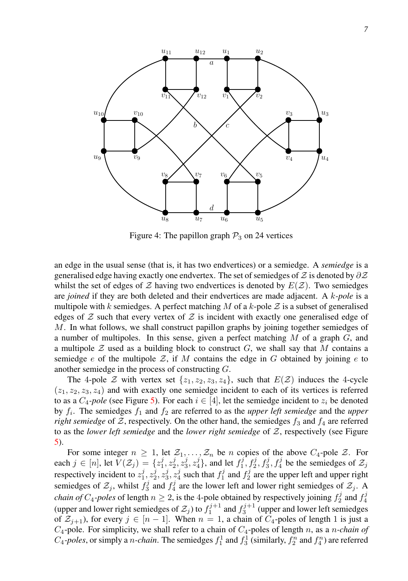<span id="page-6-0"></span>

Figure 4: The papillon graph  $P_3$  on 24 vertices

an edge in the usual sense (that is, it has two endvertices) or a semiedge. A *semiedge* is a generalised edge having exactly one endvertex. The set of semiedges of  $\mathcal Z$  is denoted by  $\partial \mathcal Z$ whilst the set of edges of  $Z$  having two endvertices is denoted by  $E(Z)$ . Two semiedges are *joined* if they are both deleted and their endvertices are made adjacent. A k*-pole* is a multipole with k semiedges. A perfect matching M of a k-pole  $\mathcal Z$  is a subset of generalised edges of  $Z$  such that every vertex of  $Z$  is incident with exactly one generalised edge of  $M$ . In what follows, we shall construct papillon graphs by joining together semiedges of a number of multipoles. In this sense, given a perfect matching  $M$  of a graph  $G$ , and a multipole  $\mathcal Z$  used as a building block to construct  $G$ , we shall say that M contains a semiedge e of the multipole Z, if M contains the edge in G obtained by joining e to another semiedge in the process of constructing G.

The 4-pole Z with vertex set  $\{z_1, z_2, z_3, z_4\}$ , such that  $E(Z)$  induces the 4-cycle  $(z_1, z_2, z_3, z_4)$  and with exactly one semiedge incident to each of its vertices is referred to as a  $C_4$ -pole (see Figure [5\)](#page-7-0). For each  $i \in [4]$ , let the semiedge incident to  $z_i$  be denoted by  $f_i$ . The semiedges  $f_1$  and  $f_2$  are referred to as the *upper left semiedge* and the *upper right semiedge* of  $Z$ , respectively. On the other hand, the semiedges  $f_3$  and  $f_4$  are referred to as the *lower left semiedge* and the *lower right semiedge* of Z, respectively (see Figure [5\)](#page-7-0).

For some integer  $n \geq 1$ , let  $\mathcal{Z}_1, \ldots, \mathcal{Z}_n$  be n copies of the above  $C_4$ -pole  $\mathcal{Z}$ . For each  $j \in [n]$ , let  $V(\mathcal{Z}_j) = \{z_1^j, z_2^j, z_3^j, z_4^j\}$ , and let  $f_1^j, f_2^j, f_3^j, f_4^j$  be the semiedges of  $\mathcal{Z}_j$ respectively incident to  $z_1^j$ ,  $z_2^j$ ,  $z_3^j$ ,  $z_4^j$  such that  $f_1^j$  and  $f_2^j$  are the upper left and upper right semiedges of  $\mathcal{Z}_j$ , whilst  $f_3^j$  and  $f_4^j$  are the lower left and lower right semiedges of  $\mathcal{Z}_j$ . A *chain of*  $C_4$ -*poles* of length  $n \ge 2$ , is the 4-pole obtained by respectively joining  $f_2^j$  and  $f_4^j$  (upper and lower right semiedges of  $\mathcal{Z}_j$ ) to  $f_1^{j+1}$  and  $f_3^{j+1}$  (upper and lower left semiedges of  $\mathcal{Z}_{i+1}$ ), for every  $j \in [n-1]$ . When  $n = 1$ , a chain of  $C_4$ -poles of length 1 is just a  $C_4$ -pole. For simplicity, we shall refer to a chain of  $C_4$ -poles of length n, as a n-chain of  $C_4$ -poles, or simply a *n*-chain. The semiedges  $f_1^1$  and  $f_3^1$  (similarly,  $f_2^n$  and  $f_4^n$ ) are referred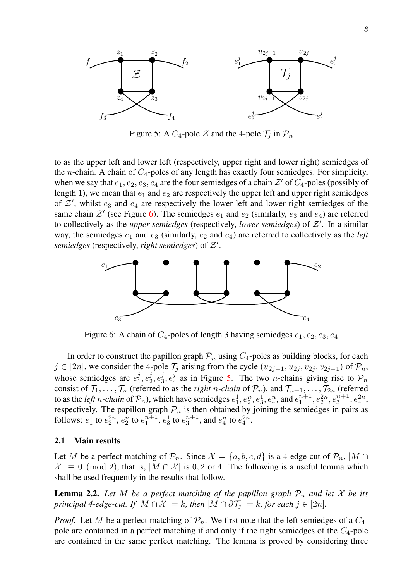<span id="page-7-0"></span>

Figure 5: A  $C_4$ -pole  $\mathcal Z$  and the 4-pole  $\mathcal T_i$  in  $\mathcal P_n$ 

to as the upper left and lower left (respectively, upper right and lower right) semiedges of the *n*-chain. A chain of  $C_4$ -poles of any length has exactly four semiedges. For simplicity, when we say that  $e_1, e_2, e_3, e_4$  are the four semiedges of a chain  $\mathcal{Z}'$  of  $C_4$ -poles (possibly of length 1), we mean that  $e_1$  and  $e_2$  are respectively the upper left and upper right semiedges of  $\mathcal{Z}'$ , whilst  $e_3$  and  $e_4$  are respectively the lower left and lower right semiedges of the same chain  $\mathcal{Z}'$  (see Figure [6\)](#page-7-1). The semiedges  $e_1$  and  $e_2$  (similarly,  $e_3$  and  $e_4$ ) are referred to collectively as the *upper semiedges* (respectively, *lower semiedges*) of  $\mathcal{Z}'$ . In a similar way, the semiedges  $e_1$  and  $e_3$  (similarly,  $e_2$  and  $e_4$ ) are referred to collectively as the *left* semiedges (respectively, right semiedges) of  $\mathcal{Z}'$ .

<span id="page-7-1"></span>

Figure 6: A chain of  $C_4$ -poles of length 3 having semiedges  $e_1, e_2, e_3, e_4$ 

In order to construct the papillon graph  $\mathcal{P}_n$  using  $C_4$ -poles as building blocks, for each  $j \in [2n]$ , we consider the 4-pole  $\mathcal{T}_j$  arising from the cycle  $(u_{2j-1}, u_{2j}, v_{2j}, v_{2j-1})$  of  $\mathcal{P}_n$ , whose semiedges are  $e_1^j, e_2^j, e_3^j, e_4^j$  as in Figure [5.](#page-7-0) The two *n*-chains giving rise to  $\mathcal{P}_n$ consist of  $\mathcal{T}_1, \ldots, \mathcal{T}_n$  (referred to as the *right n-chain* of  $\mathcal{P}_n$ ), and  $\mathcal{T}_{n+1}, \ldots, \mathcal{T}_{2n}$  (referred to as the *left n*-chain of  $\mathcal{P}_n$ ), which have semiedges  $e_1^1, e_2^n, e_3^1, e_4^n$ , and  $e_1^{n+1}, e_2^{2n}, e_3^{n+1}, e_4^{2n}$ , respectively. The papillon graph  $\mathcal{P}_n$  is then obtained by joining the semiedges in pairs as follows:  $e_1^1$  to  $e_2^{2n}$ ,  $e_2^n$  to  $e_1^{n+1}$ ,  $e_3^1$  to  $e_3^{n+1}$ , and  $e_4^n$  to  $e_4^{2n}$ .

## 2.1 Main results

Let M be a perfect matching of  $\mathcal{P}_n$ . Since  $\mathcal{X} = \{a, b, c, d\}$  is a 4-edge-cut of  $\mathcal{P}_n$ ,  $|M \cap$  $|\mathcal{X}| \equiv 0 \pmod{2}$ , that is,  $|M \cap \mathcal{X}|$  is 0, 2 or 4. The following is a useful lemma which shall be used frequently in the results that follow.

<span id="page-7-2"></span>**Lemma 2.2.** Let M be a perfect matching of the papillon graph  $\mathcal{P}_n$  and let X be its *principal 4-edge-cut. If*  $|M \cap \mathcal{X}| = k$ *, then*  $|M \cap \partial \mathcal{T}_i| = k$ *, for each*  $j \in [2n]$ *.* 

*Proof.* Let M be a perfect matching of  $\mathcal{P}_n$ . We first note that the left semiedges of a  $C_4$ pole are contained in a perfect matching if and only if the right semiedges of the  $C_4$ -pole are contained in the same perfect matching. The lemma is proved by considering three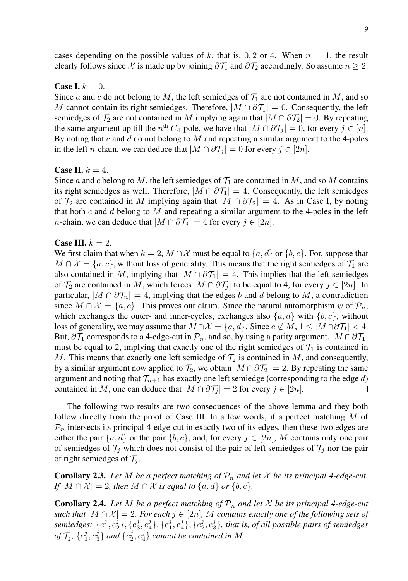cases depending on the possible values of k, that is, 0, 2 or 4. When  $n = 1$ , the result clearly follows since X is made up by joining  $\partial \mathcal{T}_1$  and  $\partial \mathcal{T}_2$  accordingly. So assume  $n \geq 2$ .

#### Case I.  $k = 0$ .

Since a and c do not belong to M, the left semiedges of  $\mathcal{T}_1$  are not contained in M, and so M cannot contain its right semiedges. Therefore,  $|M \cap \partial T_1| = 0$ . Consequently, the left semiedges of  $\mathcal{T}_2$  are not contained in M implying again that  $|M \cap \partial \mathcal{T}_2| = 0$ . By repeating the same argument up till the  $n^{\text{th}}$   $C_4$ -pole, we have that  $|M \cap \partial \mathcal{T}_j| = 0$ , for every  $j \in [n]$ . By noting that  $c$  and  $d$  do not belong to  $M$  and repeating a similar argument to the 4-poles in the left *n*-chain, we can deduce that  $|M \cap \partial \mathcal{T}_j| = 0$  for every  $j \in [2n]$ .

## Case II.  $k = 4$ .

Since a and c belong to M, the left semiedges of  $\mathcal{T}_1$  are contained in M, and so M contains its right semiedges as well. Therefore,  $|M \cap \partial T_1| = 4$ . Consequently, the left semiedges of  $\mathcal{T}_2$  are contained in M implying again that  $|M \cap \partial \mathcal{T}_2| = 4$ . As in Case I, by noting that both c and d belong to  $M$  and repeating a similar argument to the 4-poles in the left *n*-chain, we can deduce that  $|M \cap \partial \mathcal{T}_i| = 4$  for every  $j \in [2n]$ .

## Case III.  $k = 2$ .

We first claim that when  $k = 2$ ,  $M \cap \mathcal{X}$  must be equal to  $\{a, d\}$  or  $\{b, c\}$ . For, suppose that  $M \cap \mathcal{X} = \{a, c\}$ , without loss of generality. This means that the right semiedges of  $\mathcal{T}_1$  are also contained in M, implying that  $|M \cap \partial T_1| = 4$ . This implies that the left semiedges of  $\mathcal{T}_2$  are contained in M, which forces  $|M \cap \partial \mathcal{T}_j|$  to be equal to 4, for every  $j \in [2n]$ . In particular,  $|M \cap \partial T_n| = 4$ , implying that the edges b and d belong to M, a contradiction since  $M \cap \mathcal{X} = \{a, c\}$ . This proves our claim. Since the natural automorphism  $\psi$  of  $\mathcal{P}_n$ , which exchanges the outer- and inner-cycles, exchanges also  $\{a, d\}$  with  $\{b, c\}$ , without loss of generality, we may assume that  $M \cap \mathcal{X} = \{a, d\}$ . Since  $c \notin M$ ,  $1 \leq |M \cap \partial \mathcal{T}_1| < 4$ . But,  $\partial \mathcal{T}_1$  corresponds to a 4-edge-cut in  $\mathcal{P}_n$ , and so, by using a parity argument,  $|M \cap \partial \mathcal{T}_1|$ must be equal to 2, implying that exactly one of the right semiedges of  $\mathcal{T}_1$  is contained in M. This means that exactly one left semiedge of  $\mathcal{T}_2$  is contained in M, and consequently, by a similar argument now applied to  $\mathcal{T}_2$ , we obtain  $|M \cap \partial \mathcal{T}_2| = 2$ . By repeating the same argument and noting that  $\mathcal{T}_{n+1}$  has exactly one left semiedge (corresponding to the edge d) contained in M, one can deduce that  $|M \cap \partial \mathcal{T}_j| = 2$  for every  $j \in [2n]$ . □

The following two results are two consequences of the above lemma and they both follow directly from the proof of Case III. In a few words, if a perfect matching M of  $\mathcal{P}_n$  intersects its principal 4-edge-cut in exactly two of its edges, then these two edges are either the pair  $\{a, d\}$  or the pair  $\{b, c\}$ , and, for every  $j \in [2n]$ , M contains only one pair of semiedges of  $\mathcal{T}_j$  which does not consist of the pair of left semiedges of  $\mathcal{T}_j$  nor the pair of right semiedges of  $\mathcal{T}_i$ .

<span id="page-8-1"></span>**Corollary 2.3.** Let M be a perfect matching of  $\mathcal{P}_n$  and let X be its principal 4-edge-cut.  $I_f^{\dagger} |M \cap \mathcal{X}| = 2$ , then  $M \cap \mathcal{X}$  is equal to  $\{a, d\}$  or  $\{b, c\}$ .

<span id="page-8-0"></span>**Corollary 2.4.** Let M be a perfect matching of  $\mathcal{P}_n$  and let X be its principal 4-edge-cut *such that*  $|M \cap \mathcal{X}| = 2$ *. For each*  $j \in [2n]$ *, M contains exactly one of the following sets of* semiedges:  $\{e_1^j,e_2^j\},\{e_3^j,e_4^j\},\{e_1^j,e_4^j\},\{e_2^j,e_3^j\},$  that is, of all possible pairs of semiedges *of*  $\mathcal{T}_j$ ,  $\{e_1^j, e_3^j\}$  *and*  $\{e_2^j, e_4^j\}$  *cannot be contained in*  $M$ .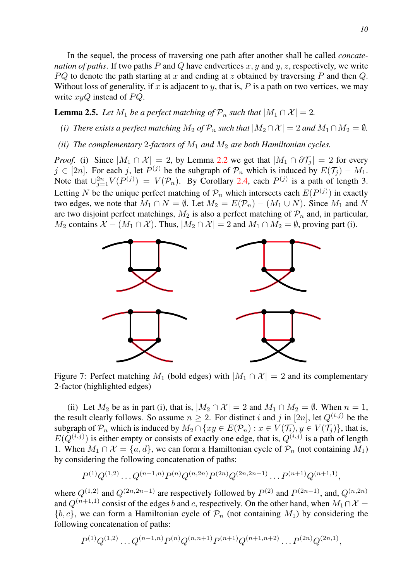In the sequel, the process of traversing one path after another shall be called *concatenation of paths*. If two paths  $P$  and  $Q$  have endvertices  $x, y$  and  $y, z$ , respectively, we write  $PQ$  to denote the path starting at x and ending at z obtained by traversing P and then Q. Without loss of generality, if x is adjacent to y, that is, P is a path on two vertices, we may write  $xyQ$  instead of  $PQ$ .

<span id="page-9-1"></span>**Lemma 2.5.** *Let*  $M_1$  *be a perfect matching of*  $\mathcal{P}_n$  *such that*  $|M_1 \cap \mathcal{X}| = 2$ *.* 

- *(i) There exists a perfect matching*  $M_2$  *of*  $\mathcal{P}_n$  *such that*  $|M_2 \cap \mathcal{X}| = 2$  *and*  $M_1 \cap M_2 = \emptyset$ *.*
- *(ii) The complementary* 2-factors of  $M_1$  *and*  $M_2$  *are both Hamiltonian cycles.*

*Proof.* (i) Since  $|M_1 \cap \mathcal{X}| = 2$ , by Lemma [2.2](#page-7-2) we get that  $|M_1 \cap \partial \mathcal{T}_i| = 2$  for every  $j \in [2n]$ . For each j, let  $P^{(j)}$  be the subgraph of  $\mathcal{P}_n$  which is induced by  $E(\mathcal{T}_j) - M_1$ . Note that  $\bigcup_{j=1}^{2n} V(P^{(j)}) = V(\mathcal{P}_n)$ . By Corollary [2.4,](#page-8-0) each  $P^{(j)}$  is a path of length 3. Letting N be the unique perfect matching of  $\mathcal{P}_n$  which intersects each  $E(P^{(j)})$  in exactly two edges, we note that  $M_1 \cap N = \emptyset$ . Let  $M_2 = E(\mathcal{P}_n) - (M_1 \cup N)$ . Since  $M_1$  and N are two disjoint perfect matchings,  $M_2$  is also a perfect matching of  $\mathcal{P}_n$  and, in particular,  $M_2$  contains  $\mathcal{X} - (M_1 \cap \mathcal{X})$ . Thus,  $|M_2 \cap \mathcal{X}| = 2$  and  $M_1 \cap M_2 = \emptyset$ , proving part (i).

<span id="page-9-0"></span>

Figure 7: Perfect matching  $M_1$  (bold edges) with  $|M_1 \cap X| = 2$  and its complementary 2-factor (highlighted edges)

(ii) Let  $M_2$  be as in part (i), that is,  $|M_2 \cap \mathcal{X}| = 2$  and  $M_1 \cap M_2 = \emptyset$ . When  $n = 1$ , the result clearly follows. So assume  $n \geq 2$ . For distinct i and j in [2n], let  $Q^{(i,j)}$  be the subgraph of  $\mathcal{P}_n$  which is induced by  $M_2 \cap \{xy \in E(\mathcal{P}_n) : x \in V(\mathcal{T}_i), y \in V(\mathcal{T}_i)\}\)$ , that is,  $E(Q^{(i,j)})$  is either empty or consists of exactly one edge, that is,  $Q^{(i,j)}$  is a path of length 1. When  $M_1 \cap \mathcal{X} = \{a, d\}$ , we can form a Hamiltonian cycle of  $\mathcal{P}_n$  (not containing  $M_1$ ) by considering the following concatenation of paths:

$$
P^{(1)}Q^{(1,2)}\ldots Q^{(n-1,n)}P^{(n)}Q^{(n,2n)}P^{(2n)}Q^{(2n,2n-1)}\ldots P^{(n+1)}Q^{(n+1,1)},
$$

where  $Q^{(1,2)}$  and  $Q^{(2n,2n-1)}$  are respectively followed by  $P^{(2)}$  and  $P^{(2n-1)}$ , and,  $Q^{(n,2n)}$ and  $Q^{(n+1,1)}$  consist of the edges b and c, respectively. On the other hand, when  $M_1 \cap \mathcal{X} =$  ${b, c}$ , we can form a Hamiltonian cycle of  $P_n$  (not containing  $M_1$ ) by considering the following concatenation of paths:

$$
P^{(1)}Q^{(1,2)}\ldots Q^{(n-1,n)}P^{(n)}Q^{(n,n+1)}P^{(n+1)}Q^{(n+1,n+2)}\ldots P^{(2n)}Q^{(2n,1)},
$$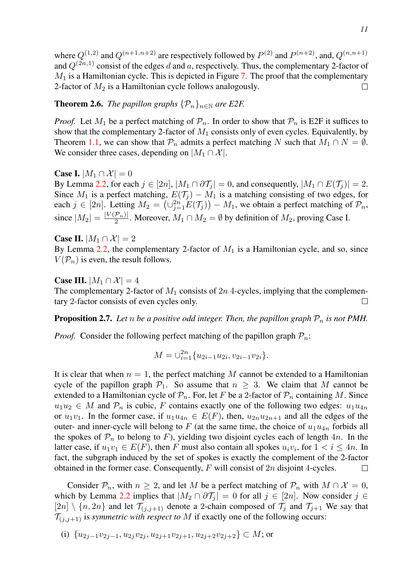where  $Q^{(1,2)}$  and  $Q^{(n+1,n+2)}$  are respectively followed by  $P^{(2)}$  and  $P^{(n+2)}$ , and,  $Q^{(n,n+1)}$ and  $Q^{(2n,1)}$  consist of the edges d and a, respectively. Thus, the complementary 2-factor of  $M_1$  is a Hamiltonian cycle. This is depicted in Figure [7.](#page-9-0) The proof that the complementary 2-factor of  $M_2$  is a Hamiltonian cycle follows analogously.  $\Box$ 

<span id="page-10-0"></span>**Theorem 2.6.** *The papillon graphs*  $\{\mathcal{P}_n\}_{n\in\mathbb{N}}$  *are E2F.* 

*Proof.* Let  $M_1$  be a perfect matching of  $\mathcal{P}_n$ . In order to show that  $\mathcal{P}_n$  is E2F it suffices to show that the complementary 2-factor of  $M_1$  consists only of even cycles. Equivalently, by Theorem [1.1,](#page-2-0) we can show that  $\mathcal{P}_n$  admits a perfect matching N such that  $M_1 \cap N = \emptyset$ . We consider three cases, depending on  $|M_1 \cap \mathcal{X}|$ .

**Case I.**  $|M_1 \cap \mathcal{X}| = 0$ 

By Lemma [2.2,](#page-7-2) for each  $j \in [2n]$ ,  $|M_1 \cap \partial T_j| = 0$ , and consequently,  $|M_1 \cap E(T_j)| = 2$ . Since  $M_1$  is a perfect matching,  $E(\mathcal{T}_j) - M_1$  is a matching consisting of two edges, for each  $j \in [2n]$ . Letting  $M_2 = (\cup_{j=1}^{2n} E(\mathcal{T}_j)) - M_1$ , we obtain a perfect matching of  $\mathcal{P}_n$ , since  $|M_2| = \frac{|V(\mathcal{P}_n)|}{2}$ . Moreover,  $M_1 \cap M_2 = \emptyset$  by definition of  $M_2$ , proving Case I.

Case II.  $|M_1 \cap \mathcal{X}| = 2$ By Lemma [2.2,](#page-7-2) the complementary 2-factor of  $M_1$  is a Hamiltonian cycle, and so, since  $V(\mathcal{P}_n)$  is even, the result follows.

**Case III.**  $|M_1 \cap \mathcal{X}| = 4$ The complementary 2-factor of  $M_1$  consists of  $2n$  4-cycles, implying that the complementary 2-factor consists of even cycles only. П

<span id="page-10-1"></span>**Proposition 2.7.** Let n be a positive odd integer. Then, the papillon graph  $\mathcal{P}_n$  is not PMH.

*Proof.* Consider the following perfect matching of the papillon graph  $P_n$ .

$$
M = \bigcup_{i=1}^{2n} \{u_{2i-1}u_{2i}, v_{2i-1}v_{2i}\}.
$$

It is clear that when  $n = 1$ , the perfect matching M cannot be extended to a Hamiltonian cycle of the papillon graph  $\mathcal{P}_1$ . So assume that  $n \geq 3$ . We claim that M cannot be extended to a Hamiltonian cycle of  $P_n$ . For, let F be a 2-factor of  $P_n$  containing M. Since  $u_1u_2 \in M$  and  $\mathcal{P}_n$  is cubic, F contains exactly one of the following two edges:  $u_1u_{4n}$ or  $u_1v_1$ . In the former case, if  $u_1u_{4n} \in E(F)$ , then,  $u_{2n}u_{2n+1}$  and all the edges of the outer- and inner-cycle will belong to F (at the same time, the choice of  $u_1u_{4n}$  forbids all the spokes of  $\mathcal{P}_n$  to belong to F), yielding two disjoint cycles each of length 4n. In the latter case, if  $u_1v_1 \in E(F)$ , then F must also contain all spokes  $u_i v_i$ , for  $1 < i \le 4n$ . In fact, the subgraph induced by the set of spokes is exactly the complement of the 2-factor obtained in the former case. Consequently,  $F$  will consist of  $2n$  disjoint 4-cycles. □

Consider  $\mathcal{P}_n$ , with  $n \geq 2$ , and let M be a perfect matching of  $\mathcal{P}_n$  with  $M \cap \mathcal{X} = 0$ , which by Lemma [2.2](#page-7-2) implies that  $|M_2 \cap \partial T_j| = 0$  for all  $j \in [2n]$ . Now consider  $j \in$  $[2n] \setminus \{n, 2n\}$  and let  $\mathcal{T}_{(i,j+1)}$  denote a 2-chain composed of  $\mathcal{T}_j$  and  $\mathcal{T}_{j+1}$  We say that  $\mathcal{T}_{(i,i+1)}$  is *symmetric with respect to* M if exactly one of the following occurs:

(i) 
$$
\{u_{2j-1}v_{2j-1}, u_{2j}v_{2j}, u_{2j+1}v_{2j+1}, u_{2j+2}v_{2j+2}\} \subset M
$$
; or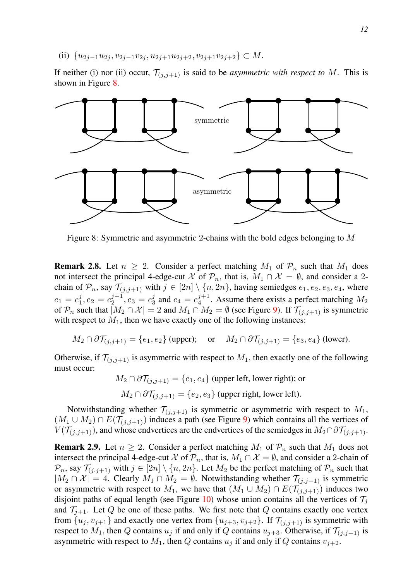(ii)  ${u_{2j-1}u_{2j}, v_{2j-1}v_{2j}, u_{2j+1}u_{2j+2}, v_{2j+1}v_{2j+2}} \subset M$ .

If neither (i) nor (ii) occur,  $\mathcal{T}_{(i,j+1)}$  is said to be *asymmetric with respect to* M. This is shown in Figure [8.](#page-11-0)

<span id="page-11-0"></span>

Figure 8: Symmetric and asymmetric 2-chains with the bold edges belonging to M

<span id="page-11-1"></span>**Remark 2.8.** Let  $n \geq 2$ . Consider a perfect matching  $M_1$  of  $\mathcal{P}_n$  such that  $M_1$  does not intersect the principal 4-edge-cut X of  $\mathcal{P}_n$ , that is,  $M_1 \cap \mathcal{X} = \emptyset$ , and consider a 2chain of  $\mathcal{P}_n$ , say  $\mathcal{T}_{(j,j+1)}$  with  $j \in [2n] \setminus \{n, 2n\}$ , having semiedges  $e_1, e_2, e_3, e_4$ , where  $e_1 = e_1^j$ ,  $e_2 = e_2^{j+1}$ ,  $e_3 = e_3^j$  and  $e_4 = e_4^{j+1}$ . Assume there exists a perfect matching  $M_2$ of  $\mathcal{P}_n$  such that  $|M_2 \cap \mathcal{X}| = 2$  and  $M_1 \cap M_2 = \emptyset$  (see Figure [9\)](#page-12-0). If  $\mathcal{T}_{(i,i+1)}$  is symmetric with respect to  $M_1$ , then we have exactly one of the following instances:

$$
M_2 \cap \partial \mathcal{T}_{(j,j+1)} = \{e_1, e_2\}
$$
 (upper); or  $M_2 \cap \partial \mathcal{T}_{(j,j+1)} = \{e_3, e_4\}$  (lower).

Otherwise, if  $\mathcal{T}_{(j,j+1)}$  is asymmetric with respect to  $M_1$ , then exactly one of the following must occur:

 $M_2 \cap \partial \mathcal{T}_{(i,i+1)} = \{e_1, e_4\}$  (upper left, lower right); or  $M_2 \cap \partial \mathcal{T}_{(i,i+1)} = \{e_2, e_3\}$  (upper right, lower left).

Notwithstanding whether  $\mathcal{T}_{(j,j+1)}$  is symmetric or asymmetric with respect to  $M_1$ ,  $(M_1 \cup M_2) \cap E(\mathcal{T}_{(j,j+1)})$  induces a path (see Figure [9\)](#page-12-0) which contains all the vertices of  $V(\mathcal{T}_{(j,j+1)})$ , and whose endvertices are the endvertices of the semiedges in  $M_2 \cap \partial \mathcal{T}_{(j,j+1)}$ .

<span id="page-11-2"></span>**Remark 2.9.** Let  $n \geq 2$ . Consider a perfect matching  $M_1$  of  $\mathcal{P}_n$  such that  $M_1$  does not intersect the principal 4-edge-cut X of  $\mathcal{P}_n$ , that is,  $M_1 \cap \mathcal{X} = \emptyset$ , and consider a 2-chain of  $\mathcal{P}_n$ , say  $\mathcal{T}_{(j,j+1)}$  with  $j \in [2n] \setminus \{n, 2n\}$ . Let  $M_2$  be the perfect matching of  $\mathcal{P}_n$  such that  $|M_2 \cap \mathcal{X}| = 4$ . Clearly  $M_1 \cap M_2 = \emptyset$ . Notwithstanding whether  $\mathcal{T}_{(j,j+1)}$  is symmetric or asymmetric with respect to  $M_1$ , we have that  $(M_1 \cup M_2) \cap E(\mathcal{T}_{(j,j+1)})$  induces two disjoint paths of equal length (see Figure [10\)](#page-12-1) whose union contains all the vertices of  $\mathcal{T}_i$ and  $\mathcal{T}_{i+1}$ . Let Q be one of these paths. We first note that Q contains exactly one vertex from  $\{u_i, v_{i+1}\}\$  and exactly one vertex from  $\{u_{i+3}, v_{i+2}\}\$ . If  $\mathcal{T}_{(i,i+1)}\$  is symmetric with respect to  $M_1$ , then Q contains  $u_j$  if and only if Q contains  $u_{j+3}$ . Otherwise, if  $\mathcal{T}_{(j,j+1)}$  is asymmetric with respect to  $M_1$ , then Q contains  $u_i$  if and only if Q contains  $v_{i+2}$ .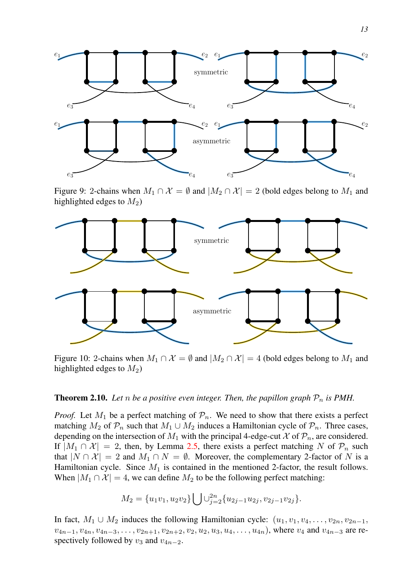<span id="page-12-0"></span>

Figure 9: 2-chains when  $M_1 \cap \mathcal{X} = \emptyset$  and  $|M_2 \cap \mathcal{X}| = 2$  (bold edges belong to  $M_1$  and highlighted edges to  $M_2$ )

<span id="page-12-1"></span>

Figure 10: 2-chains when  $M_1 \cap \mathcal{X} = \emptyset$  and  $|M_2 \cap \mathcal{X}| = 4$  (bold edges belong to  $M_1$  and highlighted edges to  $M_2$ )

## <span id="page-12-2"></span>**Theorem 2.10.** Let n be a positive even integer. Then, the papillon graph  $\mathcal{P}_n$  is PMH.

*Proof.* Let  $M_1$  be a perfect matching of  $\mathcal{P}_n$ . We need to show that there exists a perfect matching  $M_2$  of  $\mathcal{P}_n$  such that  $M_1 \cup M_2$  induces a Hamiltonian cycle of  $\mathcal{P}_n$ . Three cases, depending on the intersection of  $M_1$  with the principal 4-edge-cut  $\mathcal X$  of  $\mathcal P_n$ , are considered. If  $|M_1 \cap \mathcal{X}| = 2$ , then, by Lemma [2.5,](#page-9-1) there exists a perfect matching N of  $\mathcal{P}_n$  such that  $|N \cap \mathcal{X}| = 2$  and  $M_1 \cap N = \emptyset$ . Moreover, the complementary 2-factor of N is a Hamiltonian cycle. Since  $M_1$  is contained in the mentioned 2-factor, the result follows. When  $|M_1 \cap \mathcal{X}| = 4$ , we can define  $M_2$  to be the following perfect matching:

$$
M_2 = \{u_1v_1, u_2v_2\} \bigcup \bigcup_{j=2}^{2n} \{u_{2j-1}u_{2j}, v_{2j-1}v_{2j}\}.
$$

In fact,  $M_1 \cup M_2$  induces the following Hamiltonian cycle:  $(u_1, v_1, v_4, \ldots, v_{2n}, v_{2n-1},$  $v_{4n-1}, v_{4n}, v_{4n-3}, \ldots, v_{2n+1}, v_{2n+2}, v_2, u_2, u_3, u_4, \ldots, u_{4n}$ , where  $v_4$  and  $v_{4n-3}$  are respectively followed by  $v_3$  and  $v_{4n-2}$ .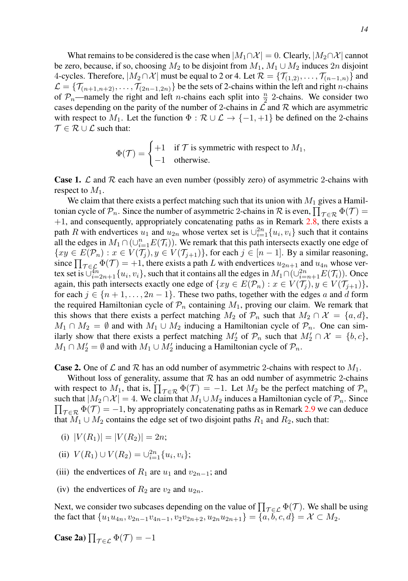What remains to be considered is the case when  $|M_1 \cap \mathcal{X}| = 0$ . Clearly,  $|M_2 \cap \mathcal{X}|$  cannot be zero, because, if so, choosing  $M_2$  to be disjoint from  $M_1, M_1 \cup M_2$  induces  $2n$  disjoint 4-cycles. Therefore,  $|M_2 \cap \mathcal{X}|$  must be equal to 2 or 4. Let  $\mathcal{R} = {\{\mathcal{T}_{(1,2)}, \dots, \mathcal{T}_{(n-1,n)}\}}$  and  $\mathcal{L} = \{\mathcal{T}_{(n+1,n+2)}, \ldots, \mathcal{T}_{(2n-1,2n)}\}$  be the sets of 2-chains within the left and right *n*-chains of  $P_n$ —namely the right and left *n*-chains each split into  $\frac{n}{2}$  2-chains. We consider two cases depending on the parity of the number of 2-chains in  $\mathcal L$  and  $\mathcal R$  which are asymmetric with respect to  $M_1$ . Let the function  $\Phi : \mathcal{R} \cup \mathcal{L} \to \{-1, +1\}$  be defined on the 2-chains  $\mathcal{T} \in \mathcal{R} \cup \mathcal{L}$  such that:

$$
\Phi(\mathcal{T}) = \begin{cases} +1 & \text{if } \mathcal{T} \text{ is symmetric with respect to } M_1, \\ -1 & \text{otherwise.} \end{cases}
$$

**Case 1.**  $\mathcal L$  and  $\mathcal R$  each have an even number (possibly zero) of asymmetric 2-chains with respect to  $M_1$ .

We claim that there exists a perfect matching such that its union with  $M_1$  gives a Hamiltonian cycle of  $\mathcal{P}_n$ . Since the number of asymmetric 2-chains in  $\mathcal R$  is even,  $\prod_{\mathcal T\in\mathcal R}\Phi(\mathcal T)=$  $+1$ , and consequently, appropriately concatenating paths as in Remark [2.8,](#page-11-1) there exists a path R with endvertices  $u_1$  and  $u_{2n}$  whose vertex set is  $\cup_{i=1}^{2n} \{u_i, v_i\}$  such that it contains all the edges in  $M_1 \cap (\cup_{i=1}^n E(\mathcal{T}_i))$ . We remark that this path intersects exactly one edge of  $\{xy \in E(\mathcal{P}_n) : x \in V(\mathcal{T}_j), y \in V(\mathcal{T}_{j+1})\}$ , for each  $j \in [n-1]$ . By a similar reasoning, since  $\prod_{\mathcal{T} \in \mathcal{L}} \Phi(\mathcal{T}) = +1$ , there exists a path L with endvertices  $u_{2n+1}$  and  $u_{4n}$  whose vertex set is  $\overline{\cup}_{i=2n+1}^{4n} \{u_i, v_i\}$ , such that it contains all the edges in  $M_1 \cap (\cup_{i=n+1}^{2n} E(\mathcal{T}_i))$ . Once again, this path intersects exactly one edge of  $\{xy \in E(\mathcal{P}_n) : x \in V(\mathcal{T}_j), y \in V(\mathcal{T}_{j+1})\}$ , for each  $j \in \{n+1, \ldots, 2n-1\}$ . These two paths, together with the edges a and d form the required Hamiltonian cycle of  $\mathcal{P}_n$  containing  $M_1$ , proving our claim. We remark that this shows that there exists a perfect matching  $M_2$  of  $\mathcal{P}_n$  such that  $M_2 \cap \mathcal{X} = \{a, d\}$ ,  $M_1 \cap M_2 = \emptyset$  and with  $M_1 \cup M_2$  inducing a Hamiltonian cycle of  $\mathcal{P}_n$ . One can similarly show that there exists a perfect matching  $M'_2$  of  $\mathcal{P}_n$  such that  $M'_2 \cap \mathcal{X} = \{b, c\},\$  $M_1 \cap M_2' = \emptyset$  and with  $M_1 \cup M_2'$  inducing a Hamiltonian cycle of  $\mathcal{P}_n$ .

**Case 2.** One of L and R has an odd number of asymmetric 2-chains with respect to  $M_1$ .

Without loss of generality, assume that  $R$  has an odd number of asymmetric 2-chains with respect to  $M_1$ , that is,  $\prod_{\mathcal{T} \in \mathcal{R}} \Phi(\mathcal{T}) = -1$ . Let  $M_2$  be the perfect matching of  $\mathcal{P}_n$  $\prod_{\mathcal{T} \in \mathcal{R}} \Phi(\mathcal{T}) = -1$ , by appropriately concatenating paths as in Remark [2.9](#page-11-2) we can deduce such that  $|M_2 \cap \mathcal{X}| = 4$ . We claim that  $M_1 \cup M_2$  induces a Hamiltonian cycle of  $\mathcal{P}_n$ . Since that  $M_1 \cup M_2$  contains the edge set of two disjoint paths  $R_1$  and  $R_2$ , such that:

- (i)  $|V(R_1)| = |V(R_2)| = 2n;$
- (ii)  $V(R_1) \cup V(R_2) = \bigcup_{i=1}^{2n} \{u_i, v_i\};$
- (iii) the endvertices of  $R_1$  are  $u_1$  and  $v_{2n-1}$ ; and
- (iv) the endvertices of  $R_2$  are  $v_2$  and  $u_{2n}$ .

Next, we consider two subcases depending on the value of  $\prod_{\mathcal{T} \in \mathcal{L}} \Phi(\mathcal{T})$ . We shall be using the fact that  $\{u_1u_{4n}, v_{2n-1}v_{4n-1}, v_2v_{2n+2}, u_{2n}u_{2n+1}\} = \{a, b, c, d\} = \mathcal{X} \subset M_2$ .

Case 2a)  $\prod_{\mathcal{T} \in \mathcal{L}} \Phi(\mathcal{T}) = -1$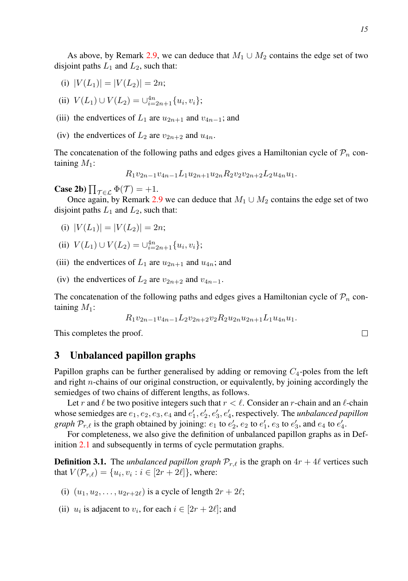- (i)  $|V(L_1)| = |V(L_2)| = 2n;$
- (ii)  $V(L_1) \cup V(L_2) = \bigcup_{i=2n+1}^{4n} \{u_i, v_i\};$
- (iii) the endvertices of  $L_1$  are  $u_{2n+1}$  and  $v_{4n-1}$ ; and
- (iv) the endvertices of  $L_2$  are  $v_{2n+2}$  and  $u_{4n}$ .

The concatenation of the following paths and edges gives a Hamiltonian cycle of  $\mathcal{P}_n$  containing  $M_1$ :

$$
R_1v_{2n-1}v_{4n-1}L_1u_{2n+1}u_{2n}R_2v_2v_{2n+2}L_2u_{4n}u_1.
$$

**Case 2b**)  $\prod_{\mathcal{T}\in\mathcal{L}}\Phi(\mathcal{T})=+1$ .

Once again, by Remark [2.9](#page-11-2) we can deduce that  $M_1 \cup M_2$  contains the edge set of two disjoint paths  $L_1$  and  $L_2$ , such that:

- (i)  $|V(L_1)| = |V(L_2)| = 2n;$
- (ii)  $V(L_1) \cup V(L_2) = \bigcup_{i=2n+1}^{4n} \{u_i, v_i\};$
- (iii) the endvertices of  $L_1$  are  $u_{2n+1}$  and  $u_{4n}$ ; and
- (iv) the endvertices of  $L_2$  are  $v_{2n+2}$  and  $v_{4n-1}$ .

The concatenation of the following paths and edges gives a Hamiltonian cycle of  $\mathcal{P}_n$  containing  $M_1$ :

$$
R_1v_{2n-1}v_{4n-1}L_2v_{2n+2}v_2R_2u_{2n}u_{2n+1}L_1u_{4n}u_1.
$$

This completes the proof.

# <span id="page-14-0"></span>3 Unbalanced papillon graphs

Papillon graphs can be further generalised by adding or removing  $C_4$ -poles from the left and right  $n$ -chains of our original construction, or equivalently, by joining accordingly the semiedges of two chains of different lengths, as follows.

Let r and  $\ell$  be two positive integers such that  $r < \ell$ . Consider an r-chain and an  $\ell$ -chain whose semiedges are  $e_1, e_2, e_3, e_4$  and  $e'_1, e'_2, e'_3, e'_4$ , respectively. The *unbalanced papillon graph*  $\mathcal{P}_{r,\ell}$  is the graph obtained by joining:  $e_1$  to  $e'_2$ ,  $e_2$  to  $e'_1$ ,  $e_3$  to  $e'_3$ , and  $e_4$  to  $e'_4$ .

For completeness, we also give the definition of unbalanced papillon graphs as in Definition [2.1](#page-4-2) and subsequently in terms of cycle permutation graphs.

**Definition 3.1.** The *unbalanced papillon graph*  $\mathcal{P}_{r,\ell}$  is the graph on  $4r + 4\ell$  vertices such that  $V(\mathcal{P}_{r,\ell}) = \{u_i, v_i : i \in [2r + 2\ell]\},$  where:

- (i)  $(u_1, u_2, \ldots, u_{2r+2\ell})$  is a cycle of length  $2r + 2\ell$ ;
- (ii)  $u_i$  is adjacent to  $v_i$ , for each  $i \in [2r + 2\ell]$ ; and

 $\Box$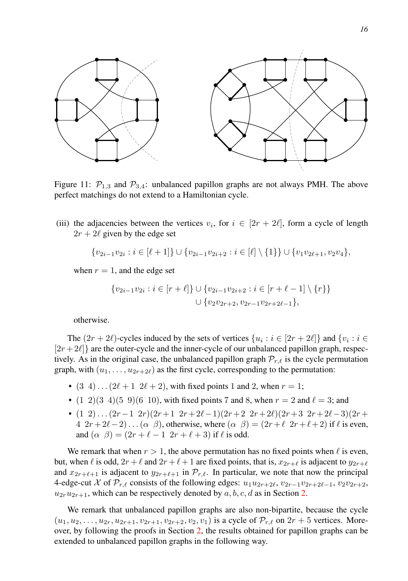<span id="page-15-0"></span>

Figure 11:  $\mathcal{P}_{1,3}$  and  $\mathcal{P}_{3,4}$ : unbalanced papillon graphs are not always PMH. The above perfect matchings do not extend to a Hamiltonian cycle.

(iii) the adjacencies between the vertices  $v_i$ , for  $i \in [2r + 2\ell]$ , form a cycle of length  $2r + 2\ell$  given by the edge set

$$
\{v_{2i-1}v_{2i}: i \in [\ell+1]\} \cup \{v_{2i-1}v_{2i+2}: i \in [\ell] \setminus \{1\}\} \cup \{v_1v_{2\ell+1}, v_2v_4\},\
$$

when  $r = 1$ , and the edge set

$$
\{v_{2i-1}v_{2i} : i \in [r+\ell] \} \cup \{v_{2i-1}v_{2i+2} : i \in [r+\ell-1] \setminus \{r\} \}
$$
  

$$
\cup \{v_2v_{2r+2}, v_{2r-1}v_{2r+2\ell-1} \},
$$

otherwise.

The  $(2r + 2\ell)$ -cycles induced by the sets of vertices  $\{u_i : i \in [2r + 2\ell]\}$  and  $\{v_i : i \in$  $[2r+2\ell]$  are the outer-cycle and the inner-cycle of our unbalanced papillon graph, respectively. As in the original case, the unbalanced papillon graph  $\mathcal{P}_{r,\ell}$  is the cycle permutation graph, with  $(u_1, \ldots, u_{2r+2\ell})$  as the first cycle, corresponding to the permutation:

- $(3\ 4) \dots (2\ell + 1\ 2\ell + 2)$ , with fixed points 1 and 2, when  $r = 1$ ;
- $(1 \ 2)(3 \ 4)(5 \ 9)(6 \ 10)$ , with fixed points 7 and 8, when  $r = 2$  and  $\ell = 3$ ; and
- (1 2)... $(2r-1 \t2r)(2r+1 \t2r+2\ell-1)(2r+2 \t2r+2\ell)(2r+3 \t2r+2\ell-3)(2r+1)$  $4 \ 2r + 2\ell - 2) \ldots (\alpha \ \beta)$ , otherwise, where  $(\alpha \ \beta) = (2r + \ell \ 2r + \ell + 2)$  if  $\ell$  is even, and  $(\alpha \ \beta) = (2r + \ell - 1 \ 2r + \ell + 3)$  if  $\ell$  is odd.

We remark that when  $r > 1$ , the above permutation has no fixed points when  $\ell$  is even, but, when  $\ell$  is odd,  $2r + \ell$  and  $2r + \ell + 1$  are fixed points, that is,  $x_{2r+\ell}$  is adjacent to  $y_{2r+\ell}$ and  $x_{2r+\ell+1}$  is adjacent to  $y_{2r+\ell+1}$  in  $\mathcal{P}_{r,\ell}$ . In particular, we note that now the principal 4-edge-cut X of  $\mathcal{P}_{r,\ell}$  consists of the following edges:  $u_1u_{2r+2\ell}, v_{2r-1}v_{2r+2\ell-1}, v_2v_{2r+2}$ ,  $u_{2r}u_{2r+1}$ , which can be respectively denoted by  $a, b, c, d$  as in Section [2.](#page-4-1)

We remark that unbalanced papillon graphs are also non-bipartite, because the cycle  $(u_1, u_2, \ldots, u_{2r}, u_{2r+1}, v_{2r+1}, v_{2r+2}, v_2, v_1)$  is a cycle of  $\mathcal{P}_{r,\ell}$  on  $2r+5$  vertices. Moreover, by following the proofs in Section [2,](#page-4-1) the results obtained for papillon graphs can be extended to unbalanced papillon graphs in the following way.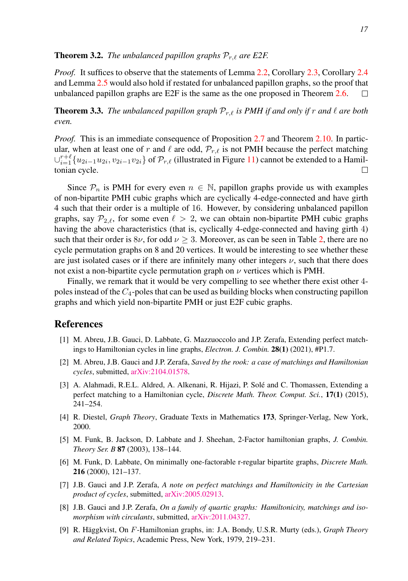#### **Theorem 3.2.** *The unbalanced papillon graphs*  $P_{r,\ell}$  *are E2F.*

*Proof.* It suffices to observe that the statements of Lemma [2.2,](#page-7-2) Corollary [2.3,](#page-8-1) Corollary [2.4](#page-8-0) and Lemma [2.5](#page-9-1) would also hold if restated for unbalanced papillon graphs, so the proof that unbalanced papillon graphs are E2F is the same as the one proposed in Theorem [2.6.](#page-10-0) П

**Theorem 3.3.** *The unbalanced papillon graph*  $P_{r,\ell}$  *is PMH if and only if* r *and*  $\ell$  *are both even.*

*Proof.* This is an immediate consequence of Proposition [2.7](#page-10-1) and Theorem [2.10.](#page-12-2) In particular, when at least one of r and  $\ell$  are odd,  $\mathcal{P}_{r,\ell}$  is not PMH because the perfect matching  $\cup_{i=1}^{r+\ell} \{u_{2i-1}u_{2i}, v_{2i-1}v_{2i}\}$  of  $\mathcal{P}_{r,\ell}$  (illustrated in Figure [11\)](#page-15-0) cannot be extended to a Hamiltonian cycle. П

Since  $\mathcal{P}_n$  is PMH for every even  $n \in \mathbb{N}$ , papillon graphs provide us with examples of non-bipartite PMH cubic graphs which are cyclically 4-edge-connected and have girth 4 such that their order is a multiple of 16. However, by considering unbalanced papillon graphs, say  $\mathcal{P}_{2,\ell}$ , for some even  $\ell > 2$ , we can obtain non-bipartite PMH cubic graphs having the above characteristics (that is, cyclically 4-edge-connected and having girth 4) such that their order is  $8\nu$ , for odd  $\nu \geq 3$ . Moreover, as can be seen in Table [2,](#page-4-0) there are no cycle permutation graphs on 8 and 20 vertices. It would be interesting to see whether these are just isolated cases or if there are infinitely many other integers  $\nu$ , such that there does not exist a non-bipartite cycle permutation graph on  $\nu$  vertices which is PMH.

Finally, we remark that it would be very compelling to see whether there exist other 4 poles instead of the  $C_4$ -poles that can be used as building blocks when constructing papillon graphs and which yield non-bipartite PMH or just E2F cubic graphs.

# **References**

- <span id="page-16-2"></span>[1] M. Abreu, J.B. Gauci, D. Labbate, G. Mazzuoccolo and J.P. Zerafa, Extending perfect matchings to Hamiltonian cycles in line graphs, *Electron. J. Combin.* 28(1) (2021), #P1.7.
- <span id="page-16-3"></span>[2] M. Abreu, J.B. Gauci and J.P. Zerafa, *Saved by the rook: a case of matchings and Hamiltonian cycles*, submitted, [arXiv:2104.01578.](https://arxiv.org/abs/2104.01578)
- <span id="page-16-4"></span>[3] A. Alahmadi, R.E.L. Aldred, A. Alkenani, R. Hijazi, P. Sole and C. Thomassen, Extending a ´ perfect matching to a Hamiltonian cycle, *Discrete Math. Theor. Comput. Sci.*, 17(1) (2015), 241–254.
- <span id="page-16-0"></span>[4] R. Diestel, *Graph Theory*, Graduate Texts in Mathematics 173, Springer-Verlag, New York, 2000.
- <span id="page-16-7"></span>[5] M. Funk, B. Jackson, D. Labbate and J. Sheehan, 2-Factor hamiltonian graphs, *J. Combin. Theory Ser. B* 87 (2003), 138–144.
- <span id="page-16-8"></span>[6] M. Funk, D. Labbate, On minimally one-factorable r-regular bipartite graphs, *Discrete Math.* 216 (2000), 121–137.
- <span id="page-16-5"></span>[7] J.B. Gauci and J.P. Zerafa, *A note on perfect matchings and Hamiltonicity in the Cartesian product of cycles*, submitted, [arXiv:2005.02913.](https://arxiv.org/abs/2005.02913)
- <span id="page-16-6"></span>[8] J.B. Gauci and J.P. Zerafa, *On a family of quartic graphs: Hamiltonicity, matchings and isomorphism with circulants*, submitted, [arXiv:2011.04327.](https://arxiv.org/abs/2011.04327)
- <span id="page-16-1"></span>[9] R. Häggkvist, On F-Hamiltonian graphs, in: J.A. Bondy, U.S.R. Murty (eds.), *Graph Theory and Related Topics*, Academic Press, New York, 1979, 219–231.